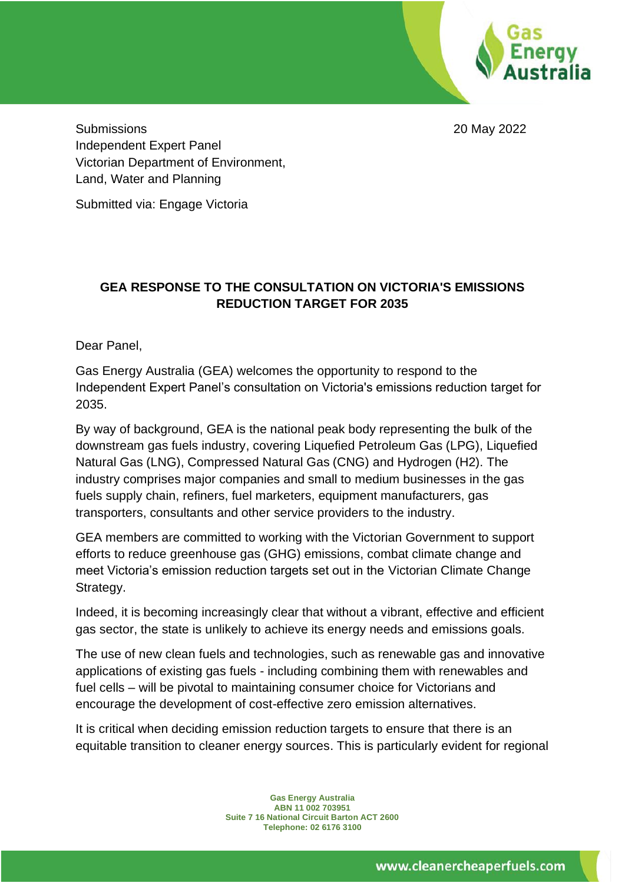

Submissions 20 May 2022 Independent Expert Panel Victorian Department of Environment, Land, Water and Planning

Submitted via: Engage Victoria

# **GEA RESPONSE TO THE CONSULTATION ON VICTORIA'S EMISSIONS REDUCTION TARGET FOR 2035**

Dear Panel,

Gas Energy Australia (GEA) welcomes the opportunity to respond to the Independent Expert Panel's consultation on Victoria's emissions reduction target for 2035.

By way of background, GEA is the national peak body representing the bulk of the downstream gas fuels industry, covering Liquefied Petroleum Gas (LPG), Liquefied Natural Gas (LNG), Compressed Natural Gas (CNG) and Hydrogen (H2). The industry comprises major companies and small to medium businesses in the gas fuels supply chain, refiners, fuel marketers, equipment manufacturers, gas transporters, consultants and other service providers to the industry.

GEA members are committed to working with the Victorian Government to support efforts to reduce greenhouse gas (GHG) emissions, combat climate change and meet Victoria's emission reduction targets set out in the Victorian Climate Change Strategy.

Indeed, it is becoming increasingly clear that without a vibrant, effective and efficient gas sector, the state is unlikely to achieve its energy needs and emissions goals.

The use of new clean fuels and technologies, such as renewable gas and innovative applications of existing gas fuels - including combining them with renewables and fuel cells – will be pivotal to maintaining consumer choice for Victorians and encourage the development of cost-effective zero emission alternatives.

It is critical when deciding emission reduction targets to ensure that there is an equitable transition to cleaner energy sources. This is particularly evident for regional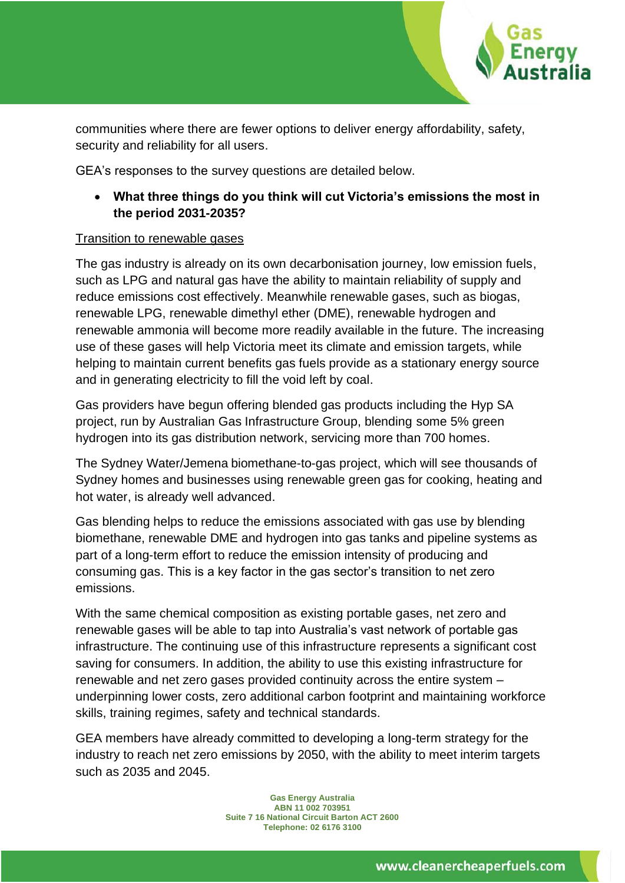

communities where there are fewer options to deliver energy affordability, safety, security and reliability for all users.

GEA's responses to the survey questions are detailed below.

• **What three things do you think will cut Victoria's emissions the most in the period 2031-2035?**

### Transition to renewable gases

The gas industry is already on its own decarbonisation journey, low emission fuels, such as LPG and natural gas have the ability to maintain reliability of supply and reduce emissions cost effectively. Meanwhile renewable gases, such as biogas, renewable LPG, renewable dimethyl ether (DME), renewable hydrogen and renewable ammonia will become more readily available in the future. The increasing use of these gases will help Victoria meet its climate and emission targets, while helping to maintain current benefits gas fuels provide as a stationary energy source and in generating electricity to fill the void left by coal.

Gas providers have begun offering blended gas products including the Hyp SA project, run by Australian Gas Infrastructure Group, blending some 5% green hydrogen into its gas distribution network, servicing more than 700 homes.

The Sydney Water/Jemena biomethane-to-gas project, which will see thousands of Sydney homes and businesses using renewable green gas for cooking, heating and hot water, is already well advanced.

Gas blending helps to reduce the emissions associated with gas use by blending biomethane, renewable DME and hydrogen into gas tanks and pipeline systems as part of a long-term effort to reduce the emission intensity of producing and consuming gas. This is a key factor in the gas sector's transition to net zero emissions.

With the same chemical composition as existing portable gases, net zero and renewable gases will be able to tap into Australia's vast network of portable gas infrastructure. The continuing use of this infrastructure represents a significant cost saving for consumers. In addition, the ability to use this existing infrastructure for renewable and net zero gases provided continuity across the entire system – underpinning lower costs, zero additional carbon footprint and maintaining workforce skills, training regimes, safety and technical standards.

GEA members have already committed to developing a long-term strategy for the industry to reach net zero emissions by 2050, with the ability to meet interim targets such as 2035 and 2045.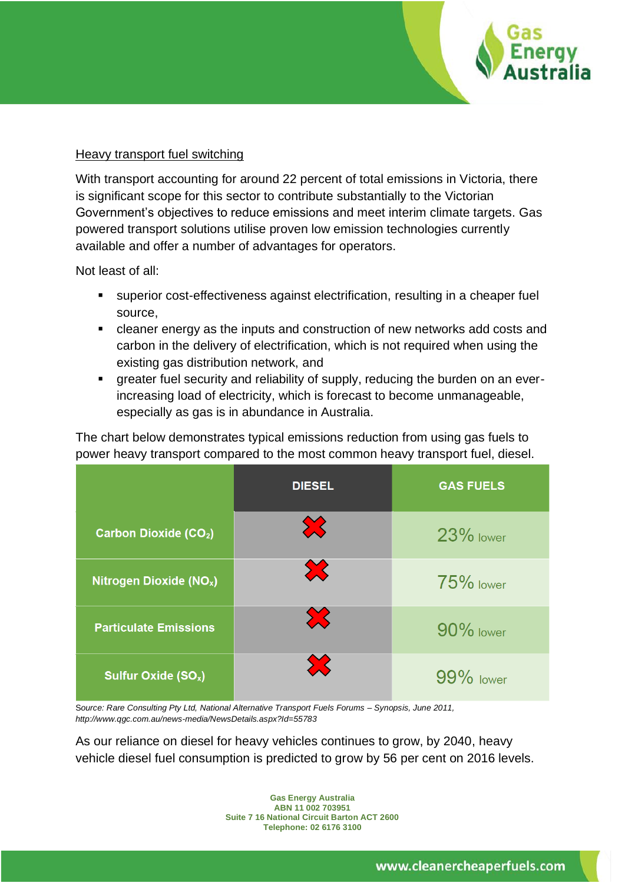

#### Heavy transport fuel switching

With transport accounting for around 22 percent of total emissions in Victoria, there is significant scope for this sector to contribute substantially to the Victorian Government's objectives to reduce emissions and meet interim climate targets. Gas powered transport solutions utilise proven low emission technologies currently available and offer a number of advantages for operators.

Not least of all:

- superior cost-effectiveness against electrification, resulting in a cheaper fuel source,
- cleaner energy as the inputs and construction of new networks add costs and carbon in the delivery of electrification, which is not required when using the existing gas distribution network, and
- greater fuel security and reliability of supply, reducing the burden on an everincreasing load of electricity, which is forecast to become unmanageable, especially as gas is in abundance in Australia.

The chart below demonstrates typical emissions reduction from using gas fuels to power heavy transport compared to the most common heavy transport fuel, diesel.

|                                     | <b>DIESEL</b> | <b>GAS FUELS</b> |
|-------------------------------------|---------------|------------------|
| <b>Carbon Dioxide (CO2)</b>         |               | 23% lower        |
| Nitrogen Dioxide (NO <sub>x</sub> ) | X             | $75\%$ lower     |
| <b>Particulate Emissions</b>        |               | 90% lower        |
| Sulfur Oxide (SO <sub>x</sub> )     |               | 99% lower        |

S*ource: Rare Consulting Pty Ltd, National Alternative Transport Fuels Forums – Synopsis, June 2011, http://www.qgc.com.au/news-media/NewsDetails.aspx?Id=55783*

As our reliance on diesel for heavy vehicles continues to grow, by 2040, heavy vehicle diesel fuel consumption is predicted to grow by 56 per cent on 2016 levels.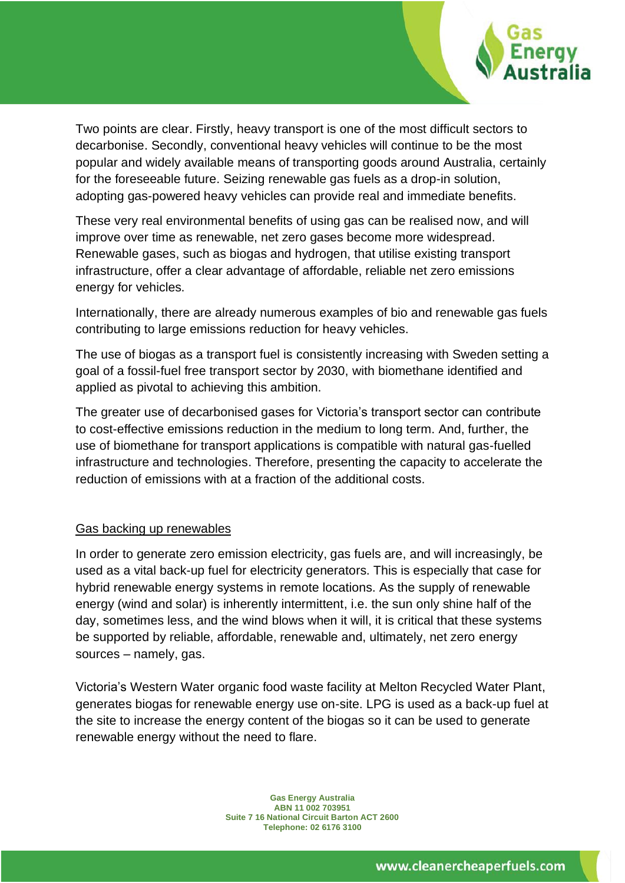

Two points are clear. Firstly, heavy transport is one of the most difficult sectors to decarbonise. Secondly, conventional heavy vehicles will continue to be the most popular and widely available means of transporting goods around Australia, certainly for the foreseeable future. Seizing renewable gas fuels as a drop-in solution, adopting gas-powered heavy vehicles can provide real and immediate benefits.

These very real environmental benefits of using gas can be realised now, and will improve over time as renewable, net zero gases become more widespread. Renewable gases, such as biogas and hydrogen, that utilise existing transport infrastructure, offer a clear advantage of affordable, reliable net zero emissions energy for vehicles.

Internationally, there are already numerous examples of bio and renewable gas fuels contributing to large emissions reduction for heavy vehicles.

The use of biogas as a transport fuel is consistently increasing with Sweden setting a goal of a fossil-fuel free transport sector by 2030, with biomethane identified and applied as pivotal to achieving this ambition.

The greater use of decarbonised gases for Victoria's transport sector can contribute to cost-effective emissions reduction in the medium to long term. And, further, the use of biomethane for transport applications is compatible with natural gas-fuelled infrastructure and technologies. Therefore, presenting the capacity to accelerate the reduction of emissions with at a fraction of the additional costs.

### Gas backing up renewables

In order to generate zero emission electricity, gas fuels are, and will increasingly, be used as a vital back-up fuel for electricity generators. This is especially that case for hybrid renewable energy systems in remote locations. As the supply of renewable energy (wind and solar) is inherently intermittent, i.e. the sun only shine half of the day, sometimes less, and the wind blows when it will, it is critical that these systems be supported by reliable, affordable, renewable and, ultimately, net zero energy sources – namely, gas.

Victoria's Western Water organic food waste facility at Melton Recycled Water Plant, generates biogas for renewable energy use on-site. LPG is used as a back-up fuel at the site to increase the energy content of the biogas so it can be used to generate renewable energy without the need to flare.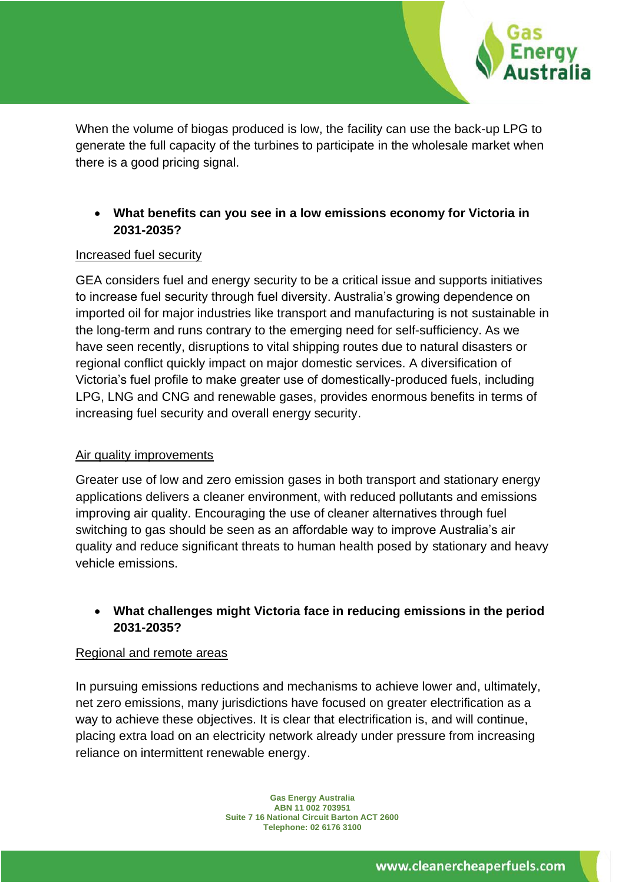

When the volume of biogas produced is low, the facility can use the back-up LPG to generate the full capacity of the turbines to participate in the wholesale market when there is a good pricing signal.

### • **What benefits can you see in a low emissions economy for Victoria in 2031-2035?**

### Increased fuel security

GEA considers fuel and energy security to be a critical issue and supports initiatives to increase fuel security through fuel diversity. Australia's growing dependence on imported oil for major industries like transport and manufacturing is not sustainable in the long-term and runs contrary to the emerging need for self-sufficiency. As we have seen recently, disruptions to vital shipping routes due to natural disasters or regional conflict quickly impact on major domestic services. A diversification of Victoria's fuel profile to make greater use of domestically-produced fuels, including LPG, LNG and CNG and renewable gases, provides enormous benefits in terms of increasing fuel security and overall energy security.

### Air quality improvements

Greater use of low and zero emission gases in both transport and stationary energy applications delivers a cleaner environment, with reduced pollutants and emissions improving air quality. Encouraging the use of cleaner alternatives through fuel switching to gas should be seen as an affordable way to improve Australia's air quality and reduce significant threats to human health posed by stationary and heavy vehicle emissions.

## • **What challenges might Victoria face in reducing emissions in the period 2031-2035?**

### Regional and remote areas

In pursuing emissions reductions and mechanisms to achieve lower and, ultimately, net zero emissions, many jurisdictions have focused on greater electrification as a way to achieve these objectives. It is clear that electrification is, and will continue, placing extra load on an electricity network already under pressure from increasing reliance on intermittent renewable energy.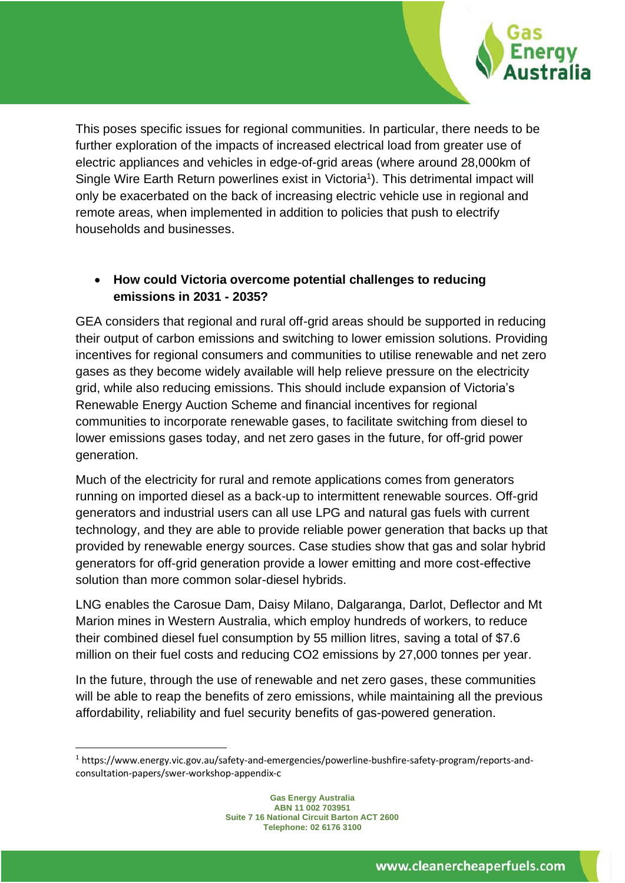

This poses specific issues for regional communities. In particular, there needs to be further exploration of the impacts of increased electrical load from greater use of electric appliances and vehicles in edge-of-grid areas (where around 28,000km of Single Wire Earth Return powerlines exist in Victoria<sup>1</sup>). This detrimental impact will only be exacerbated on the back of increasing electric vehicle use in regional and remote areas, when implemented in addition to policies that push to electrify households and businesses.

# • **How could Victoria overcome potential challenges to reducing emissions in 2031 - 2035?**

GEA considers that regional and rural off-grid areas should be supported in reducing their output of carbon emissions and switching to lower emission solutions. Providing incentives for regional consumers and communities to utilise renewable and net zero gases as they become widely available will help relieve pressure on the electricity grid, while also reducing emissions. This should include expansion of Victoria's Renewable Energy Auction Scheme and financial incentives for regional communities to incorporate renewable gases, to facilitate switching from diesel to lower emissions gases today, and net zero gases in the future, for off-grid power generation.

Much of the electricity for rural and remote applications comes from generators running on imported diesel as a back-up to intermittent renewable sources. Off-grid generators and industrial users can all use LPG and natural gas fuels with current technology, and they are able to provide reliable power generation that backs up that provided by renewable energy sources. Case studies show that gas and solar hybrid generators for off-grid generation provide a lower emitting and more cost-effective solution than more common solar-diesel hybrids.

LNG enables the Carosue Dam, Daisy Milano, Dalgaranga, Darlot, Deflector and Mt Marion mines in Western Australia, which employ hundreds of workers, to reduce their combined diesel fuel consumption by 55 million litres, saving a total of \$7.6 million on their fuel costs and reducing CO2 emissions by 27,000 tonnes per year.

In the future, through the use of renewable and net zero gases, these communities will be able to reap the benefits of zero emissions, while maintaining all the previous affordability, reliability and fuel security benefits of gas-powered generation.

<sup>1</sup> https://www.energy.vic.gov.au/safety-and-emergencies/powerline-bushfire-safety-program/reports-andconsultation-papers/swer-workshop-appendix-c